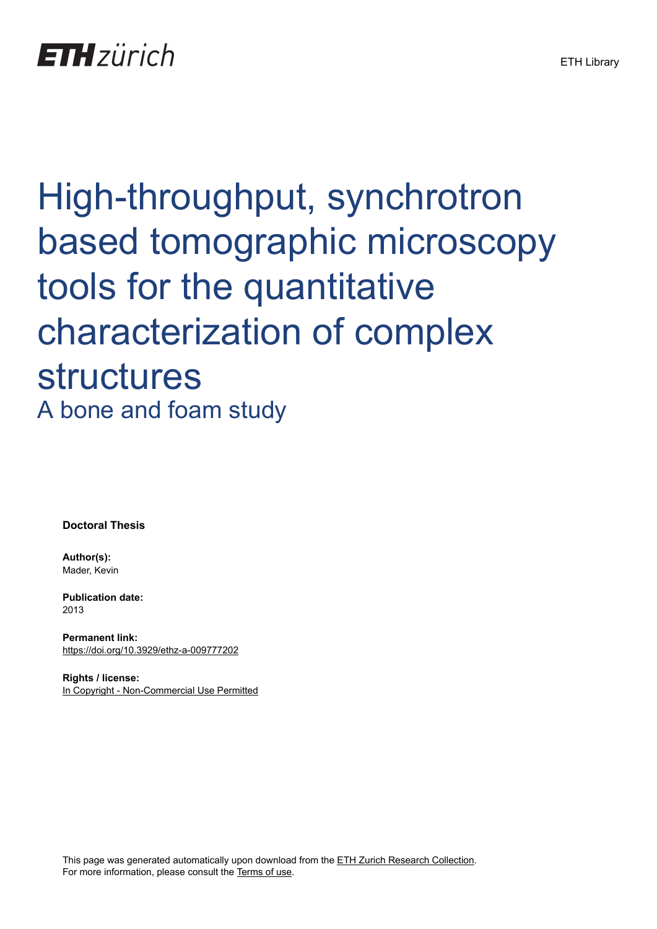# High-throughput, synchrotron based tomographic microscopy tools for the quantitative characterization of complex structures A bone and foam study

**Doctoral Thesis**

**Author(s):** Mader, Kevin

**Publication date:** 2013

**Permanent link:** <https://doi.org/10.3929/ethz-a-009777202>

**Rights / license:** [In Copyright - Non-Commercial Use Permitted](http://rightsstatements.org/page/InC-NC/1.0/)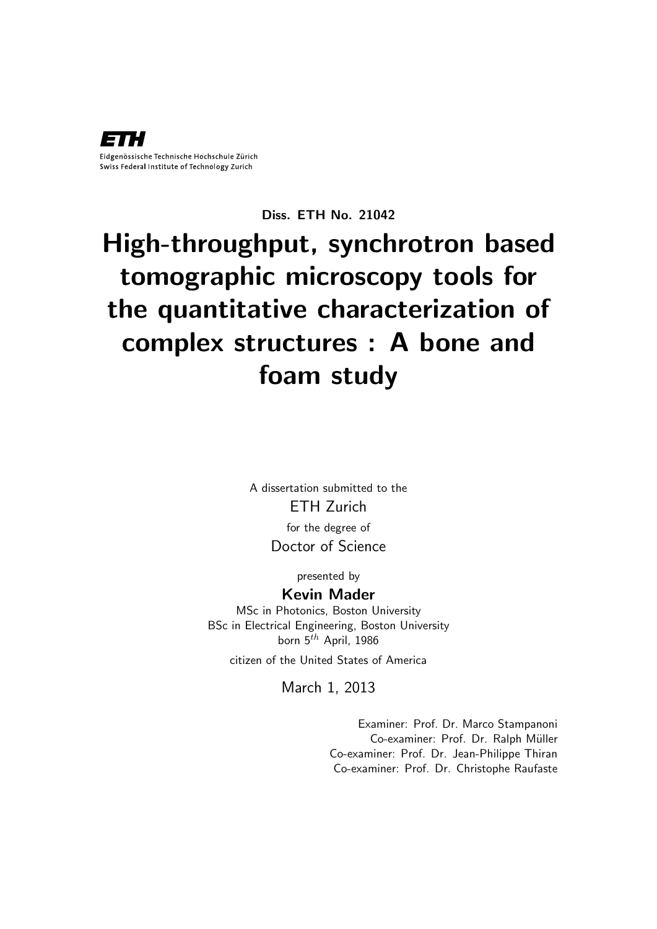

Diss. ETH No. 21042

## High-throughput, synchrotron based tomographic microscopy tools for the quantitative characterization of complex structures : A bone and foam study

A dissertation submitted to the ETH Zurich for the degree of Doctor of Science

presented by

#### Kevin Mader

MSc in Photonics, Boston University BSc in Electrical Engineering, Boston University born  $5^{th}$  April, 1986

citizen of the United States of America

March 1, 2013

Examiner: Prof. Dr. Marco Stampanoni Co-examiner: Prof. Dr. Ralph Müller Co-examiner: Prof. Dr. Jean-Philippe Thiran Co-examiner: Prof. Dr. Christophe Raufaste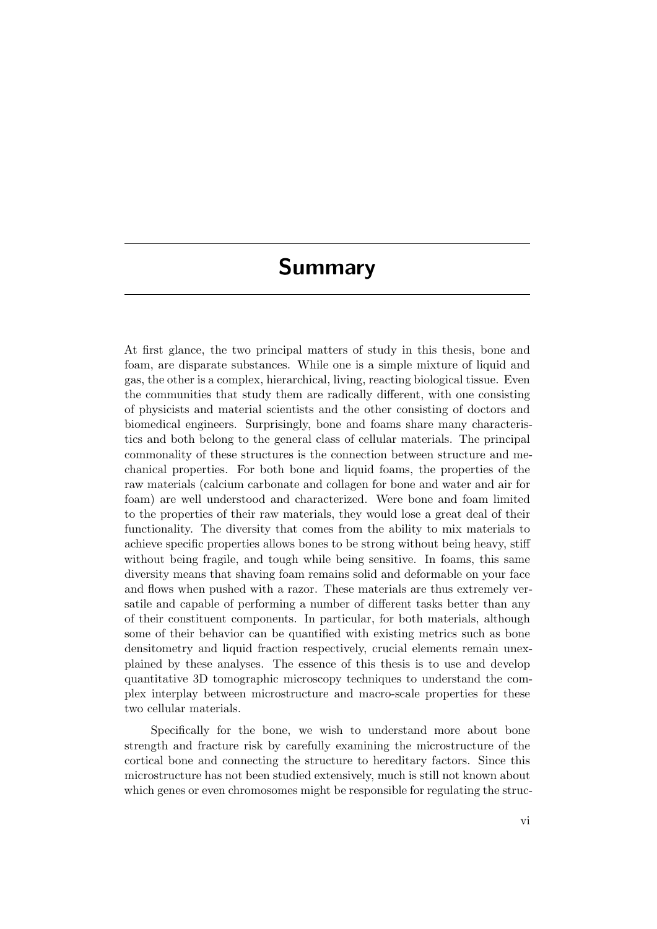## Summary

At first glance, the two principal matters of study in this thesis, bone and foam, are disparate substances. While one is a simple mixture of liquid and gas, the other is a complex, hierarchical, living, reacting biological tissue. Even the communities that study them are radically different, with one consisting of physicists and material scientists and the other consisting of doctors and biomedical engineers. Surprisingly, bone and foams share many characteristics and both belong to the general class of cellular materials. The principal commonality of these structures is the connection between structure and mechanical properties. For both bone and liquid foams, the properties of the raw materials (calcium carbonate and collagen for bone and water and air for foam) are well understood and characterized. Were bone and foam limited to the properties of their raw materials, they would lose a great deal of their functionality. The diversity that comes from the ability to mix materials to achieve specific properties allows bones to be strong without being heavy, stiff without being fragile, and tough while being sensitive. In foams, this same diversity means that shaving foam remains solid and deformable on your face and flows when pushed with a razor. These materials are thus extremely versatile and capable of performing a number of different tasks better than any of their constituent components. In particular, for both materials, although some of their behavior can be quantified with existing metrics such as bone densitometry and liquid fraction respectively, crucial elements remain unexplained by these analyses. The essence of this thesis is to use and develop quantitative 3D tomographic microscopy techniques to understand the complex interplay between microstructure and macro-scale properties for these two cellular materials.

Specifically for the bone, we wish to understand more about bone strength and fracture risk by carefully examining the microstructure of the cortical bone and connecting the structure to hereditary factors. Since this microstructure has not been studied extensively, much is still not known about which genes or even chromosomes might be responsible for regulating the struc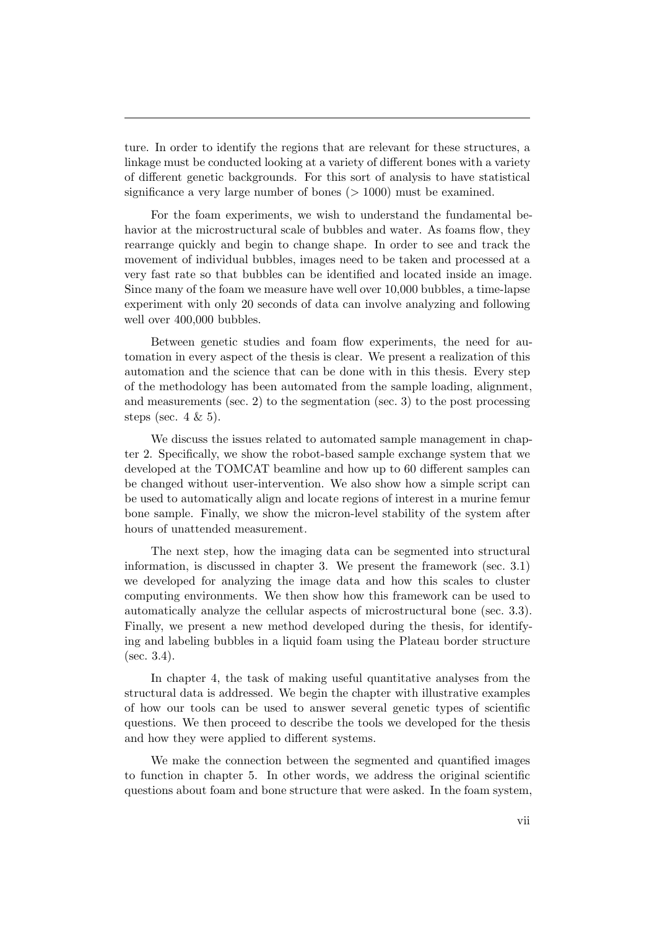ture. In order to identify the regions that are relevant for these structures, a linkage must be conducted looking at a variety of different bones with a variety of different genetic backgrounds. For this sort of analysis to have statistical significance a very large number of bones  $(>1000)$  must be examined.

For the foam experiments, we wish to understand the fundamental behavior at the microstructural scale of bubbles and water. As foams flow, they rearrange quickly and begin to change shape. In order to see and track the movement of individual bubbles, images need to be taken and processed at a very fast rate so that bubbles can be identified and located inside an image. Since many of the foam we measure have well over 10,000 bubbles, a time-lapse experiment with only 20 seconds of data can involve analyzing and following well over 400,000 bubbles.

Between genetic studies and foam flow experiments, the need for automation in every aspect of the thesis is clear. We present a realization of this automation and the science that can be done with in this thesis. Every step of the methodology has been automated from the sample loading, alignment, and measurements (sec. [2\)](#page--1-0) to the segmentation (sec. [3\)](#page--1-0) to the post processing steps (sec.  $4 \& 5$  $4 \& 5$ ).

We discuss the issues related to automated sample management in chapter [2.](#page--1-0) Specifically, we show the robot-based sample exchange system that we developed at the TOMCAT beamline and how up to 60 different samples can be changed without user-intervention. We also show how a simple script can be used to automatically align and locate regions of interest in a murine femur bone sample. Finally, we show the micron-level stability of the system after hours of unattended measurement.

The next step, how the imaging data can be segmented into structural information, is discussed in chapter [3.](#page--1-0) We present the framework (sec. [3.1\)](#page--1-1) we developed for analyzing the image data and how this scales to cluster computing environments. We then show how this framework can be used to automatically analyze the cellular aspects of microstructural bone (sec. [3.3\)](#page--1-0). Finally, we present a new method developed during the thesis, for identifying and labeling bubbles in a liquid foam using the Plateau border structure  $(\text{sec. } 3.4).$  $(\text{sec. } 3.4).$  $(\text{sec. } 3.4).$ 

In chapter [4,](#page--1-0) the task of making useful quantitative analyses from the structural data is addressed. We begin the chapter with illustrative examples of how our tools can be used to answer several genetic types of scientific questions. We then proceed to describe the tools we developed for the thesis and how they were applied to different systems.

We make the connection between the segmented and quantified images to function in chapter [5.](#page--1-0) In other words, we address the original scientific questions about foam and bone structure that were asked. In the foam system,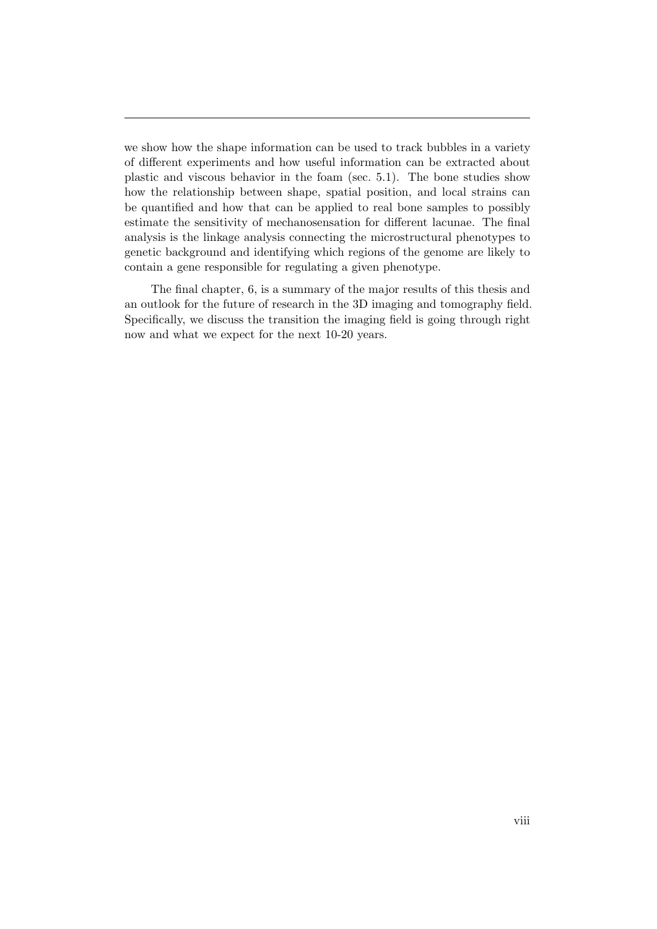we show how the shape information can be used to track bubbles in a variety of different experiments and how useful information can be extracted about plastic and viscous behavior in the foam (sec. [5.1\)](#page--1-2). The bone studies show how the relationship between shape, spatial position, and local strains can be quantified and how that can be applied to real bone samples to possibly estimate the sensitivity of mechanosensation for different lacunae. The final analysis is the linkage analysis connecting the microstructural phenotypes to genetic background and identifying which regions of the genome are likely to contain a gene responsible for regulating a given phenotype.

The final chapter, [6,](#page--1-0) is a summary of the major results of this thesis and an outlook for the future of research in the 3D imaging and tomography field. Specifically, we discuss the transition the imaging field is going through right now and what we expect for the next 10-20 years.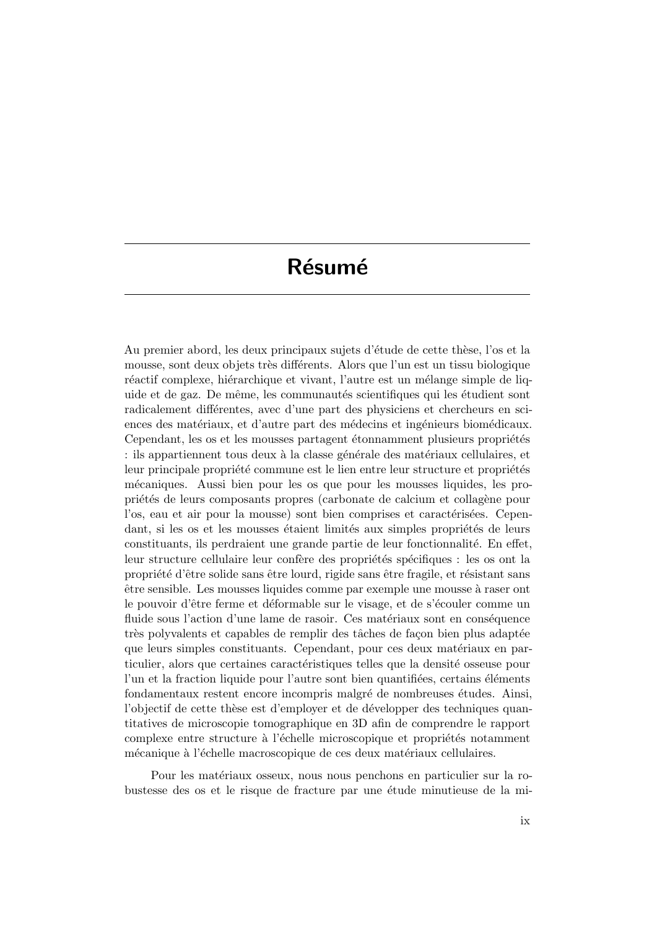## Résumé

Au premier abord, les deux principaux sujets d'étude de cette thèse, l'os et la mousse, sont deux objets très différents. Alors que l'un est un tissu biologique réactif complexe, hiérarchique et vivant, l'autre est un mélange simple de liquide et de gaz. De même, les communautés scientifiques qui les étudient sont radicalement différentes, avec d'une part des physiciens et chercheurs en sciences des matériaux, et d'autre part des médecins et ingénieurs biomédicaux. Cependant, les os et les mousses partagent étonnamment plusieurs propriétés : ils appartiennent tous deux à la classe générale des matériaux cellulaires, et leur principale propriété commune est le lien entre leur structure et propriétés m´ecaniques. Aussi bien pour les os que pour les mousses liquides, les propriétés de leurs composants propres (carbonate de calcium et collagène pour l'os, eau et air pour la mousse) sont bien comprises et caractérisées. Cependant, si les os et les mousses étaient limités aux simples propriétés de leurs constituants, ils perdraient une grande partie de leur fonctionnalité. En effet, leur structure cellulaire leur confère des propriétés spécifiques : les os ont la propriété d'être solide sans être lourd, rigide sans être fragile, et résistant sans ˆetre sensible. Les mousses liquides comme par exemple une mousse `a raser ont le pouvoir d'être ferme et déformable sur le visage, et de s'écouler comme un fluide sous l'action d'une lame de rasoir. Ces matériaux sont en conséquence très polyvalents et capables de remplir des tâches de façon bien plus adaptée que leurs simples constituants. Cependant, pour ces deux matériaux en particulier, alors que certaines caractéristiques telles que la densité osseuse pour l'un et la fraction liquide pour l'autre sont bien quantifiées, certains éléments fondamentaux restent encore incompris malgré de nombreuses études. Ainsi, l'objectif de cette thèse est d'employer et de développer des techniques quantitatives de microscopie tomographique en 3D afin de comprendre le rapport complexe entre structure à l'échelle microscopique et propriétés notamment mécanique à l'échelle macroscopique de ces deux matériaux cellulaires.

Pour les matériaux osseux, nous nous penchons en particulier sur la robustesse des os et le risque de fracture par une étude minutieuse de la mi-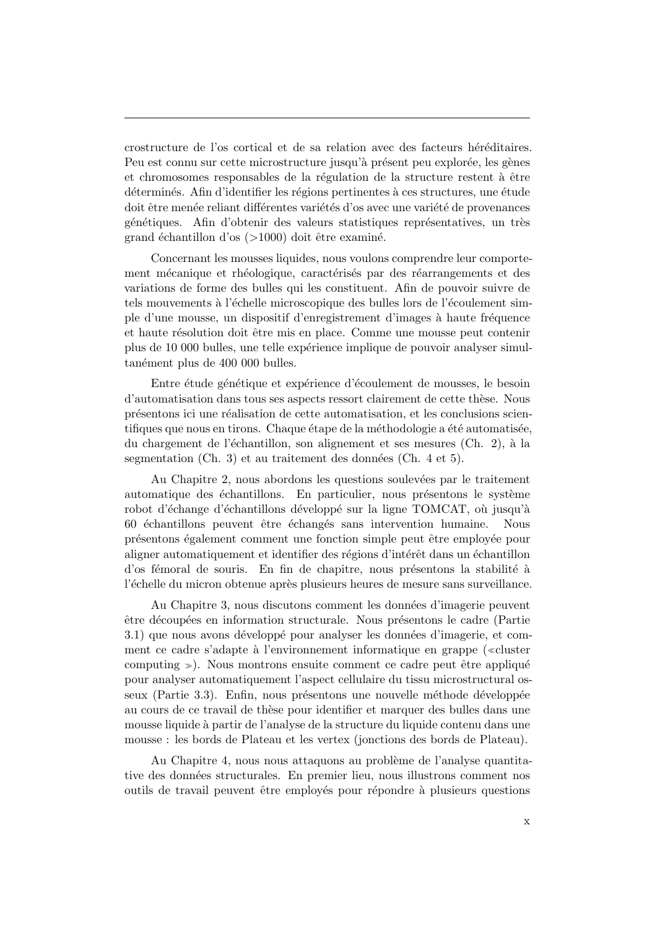crostructure de l'os cortical et de sa relation avec des facteurs héréditaires. Peu est connu sur cette microstructure jusqu'à présent peu explorée, les gènes et chromosomes responsables de la régulation de la structure restent à être déterminés. Afin d'identifier les régions pertinentes à ces structures, une étude doit être menée reliant différentes variétés d'os avec une variété de provenances génétiques. Afin d'obtenir des valeurs statistiques représentatives, un très grand échantillon d'os  $(>1000)$  doit être examiné.

Concernant les mousses liquides, nous voulons comprendre leur comportement mécanique et rhéologique, caractérisés par des réarrangements et des variations de forme des bulles qui les constituent. Afin de pouvoir suivre de tels mouvements à l'échelle microscopique des bulles lors de l'écoulement simple d'une mousse, un dispositif d'enregistrement d'images à haute fréquence et haute résolution doit être mis en place. Comme une mousse peut contenir plus de 10 000 bulles, une telle expérience implique de pouvoir analyser simultanément plus de 400 000 bulles.

Entre étude génétique et expérience d'écoulement de mousses, le besoin d'automatisation dans tous ses aspects ressort clairement de cette th`ese. Nous présentons ici une réalisation de cette automatisation, et les conclusions scientifiques que nous en tirons. Chaque étape de la méthodologie a été automatisée, du chargement de l'échantillon, son alignement et ses mesures (Ch. 2), à la segmentation  $(Ch. 3)$  et au traitement des données  $(Ch. 4 et 5).$ 

Au Chapitre 2, nous abordons les questions soulevées par le traitement automatique des échantillons. En particulier, nous présentons le système robot d'échange d'échantillons développé sur la ligne TOMCAT, où jusqu'à 60 échantillons peuvent être échangés sans intervention humaine. Nous présentons également comment une fonction simple peut être employée pour aligner automatiquement et identifier des régions d'intérêt dans un échantillon d'os fémoral de souris. En fin de chapitre, nous présentons la stabilité à l'échelle du micron obtenue après plusieurs heures de mesure sans surveillance.

Au Chapitre 3, nous discutons comment les données d'imagerie peuvent être découpées en information structurale. Nous présentons le cadre (Partie 3.1) que nous avons développé pour analyser les données d'imagerie, et comment ce cadre s'adapte à l'environnement informatique en grappe («cluster computing  $\gg$ ). Nous montrons ensuite comment ce cadre peut être appliqué pour analyser automatiquement l'aspect cellulaire du tissu microstructural osseux (Partie 3.3). Enfin, nous présentons une nouvelle méthode développée au cours de ce travail de th`ese pour identifier et marquer des bulles dans une mousse liquide `a partir de l'analyse de la structure du liquide contenu dans une mousse : les bords de Plateau et les vertex (jonctions des bords de Plateau).

Au Chapitre 4, nous nous attaquons au problème de l'analyse quantitative des données structurales. En premier lieu, nous illustrons comment nos outils de travail peuvent être employés pour répondre à plusieurs questions